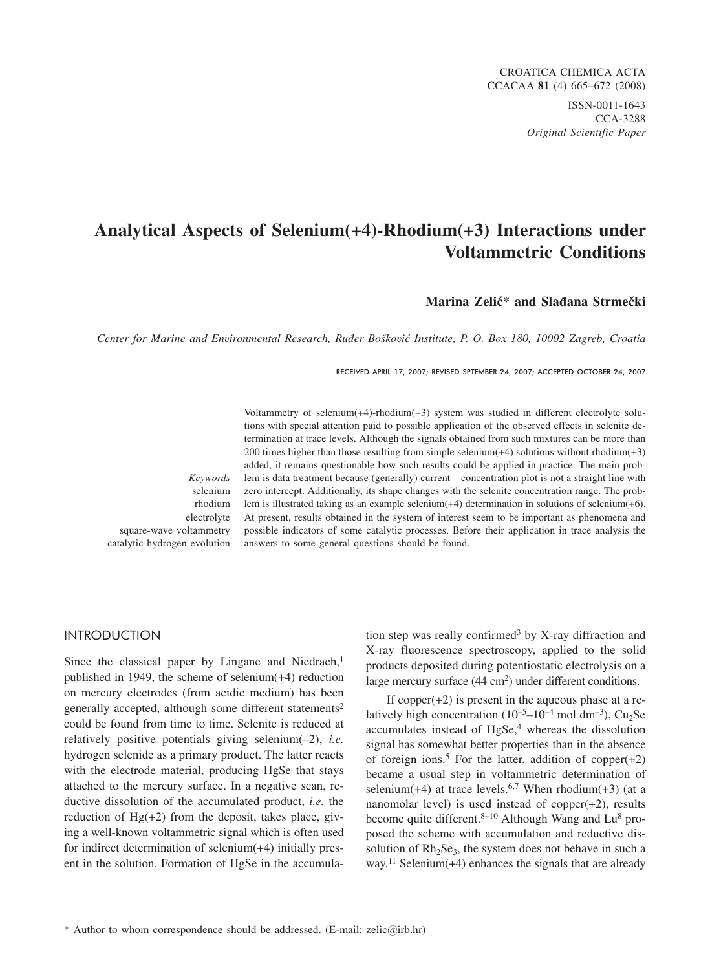## **Analytical Aspects of Selenium(+4)-Rhodium(+3) Interactions under Voltammetric Conditions**

### **Marina Zelić\* and Slađana Strmečki**

*Center for Marine and Environmental Research, Ru|er Bo{kovi} Institute, P. O. Box 180, 10002 Zagreb, Croatia*

RECEIVED APRIL 17, 2007; REVISED SPTEMBER 24, 2007; ACCEPTED OCTOBER 24, 2007

*Keywords* selenium rhodium electrolyte square-wave voltammetry catalytic hydrogen evolution

Voltammetry of selenium(+4)-rhodium(+3) system was studied in different electrolyte solutions with special attention paid to possible application of the observed effects in selenite determination at trace levels. Although the signals obtained from such mixtures can be more than 200 times higher than those resulting from simple selenium( $+4$ ) solutions without rhodium( $+3$ ) added, it remains questionable how such results could be applied in practice. The main problem is data treatment because (generally) current – concentration plot is not a straight line with zero intercept. Additionally, its shape changes with the selenite concentration range. The problem is illustrated taking as an example selenium(+4) determination in solutions of selenium(+6). At present, results obtained in the system of interest seem to be important as phenomena and possible indicators of some catalytic processes. Before their application in trace analysis the answers to some general questions should be found.

## International Contract of

Since the classical paper by Lingane and Niedrach, $<sup>1</sup>$ </sup> published in 1949, the scheme of selenium(+4) reduction on mercury electrodes (from acidic medium) has been generally accepted, although some different statements<sup>2</sup> could be found from time to time. Selenite is reduced at relatively positive potentials giving selenium(–2), *i.e.* hydrogen selenide as a primary product. The latter reacts with the electrode material, producing HgSe that stays attached to the mercury surface. In a negative scan, reductive dissolution of the accumulated product, *i.e.* the reduction of  $Hg(+2)$  from the deposit, takes place, giving a well-known voltammetric signal which is often used for indirect determination of selenium(+4) initially present in the solution. Formation of HgSe in the accumula-

tion step was really confirmed<sup>3</sup> by X-ray diffraction and X-ray fluorescence spectroscopy, applied to the solid products deposited during potentiostatic electrolysis on a large mercury surface (44 cm<sup>2</sup>) under different conditions.

If copper $(+2)$  is present in the aqueous phase at a relatively high concentration  $(10^{-5} - 10^{-4} \text{ mol dm}^{-3})$ , Cu<sub>2</sub>Se accumulates instead of HgSe,<sup>4</sup> whereas the dissolution signal has somewhat better properties than in the absence of foreign ions.<sup>5</sup> For the latter, addition of copper(+2) became a usual step in voltammetric determination of selenium(+4) at trace levels.<sup>6,7</sup> When rhodium(+3) (at a nanomolar level) is used instead of copper(+2), results become quite different. $8-10$  Although Wang and Lu<sup>8</sup> proposed the scheme with accumulation and reductive dissolution of  $Rh<sub>2</sub>Se<sub>3</sub>$ , the system does not behave in such a way.<sup>11</sup> Selenium( $+4$ ) enhances the signals that are already

<sup>\*</sup> Author to whom correspondence should be addressed. (E-mail: zelic*@*irb.hr)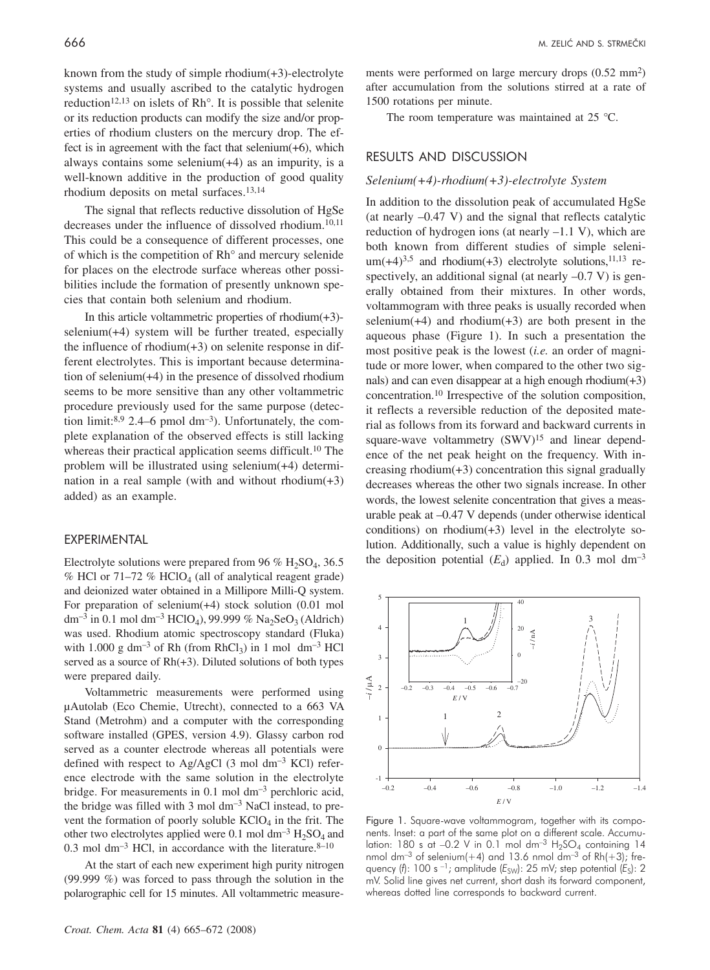known from the study of simple rhodium(+3)-electrolyte systems and usually ascribed to the catalytic hydrogen reduction<sup>12,13</sup> on islets of  $Rh^{\circ}$ . It is possible that selenite or its reduction products can modify the size and/or properties of rhodium clusters on the mercury drop. The effect is in agreement with the fact that selenium(+6), which always contains some selenium $(+4)$  as an impurity, is a well-known additive in the production of good quality rhodium deposits on metal surfaces.<sup>13,14</sup>

The signal that reflects reductive dissolution of HgSe decreases under the influence of dissolved rhodium.<sup>10,11</sup> This could be a consequence of different processes, one of which is the competition of Rh° and mercury selenide for places on the electrode surface whereas other possibilities include the formation of presently unknown species that contain both selenium and rhodium.

In this article voltammetric properties of rhodium $(+3)$ selenium(+4) system will be further treated, especially the influence of rhodium $(+3)$  on selenite response in different electrolytes. This is important because determination of selenium(+4) in the presence of dissolved rhodium seems to be more sensitive than any other voltammetric procedure previously used for the same purpose (detection limit: $8.9$  2.4–6 pmol dm<sup>-3</sup>). Unfortunately, the complete explanation of the observed effects is still lacking whereas their practical application seems difficult.<sup>10</sup> The problem will be illustrated using selenium(+4) determination in a real sample (with and without rhodium $(+3)$ ) added) as an example.

#### EXPERIMENTAL

Electrolyte solutions were prepared from 96 %  $H_2SO_4$ , 36.5 % HCl or  $71-72$  % HClO<sub>4</sub> (all of analytical reagent grade) and deionized water obtained in a Millipore Milli-Q system. For preparation of selenium(+4) stock solution (0.01 mol dm<sup>-3</sup> in 0.1 mol dm<sup>-3</sup> HClO<sub>4</sub>), 99.999 % Na<sub>2</sub>SeO<sub>3</sub> (Aldrich) was used. Rhodium atomic spectroscopy standard (Fluka) with 1.000 g dm<sup>-3</sup> of Rh (from RhCl<sub>3</sub>) in 1 mol dm<sup>-3</sup> HCl served as a source of  $Rh(+3)$ . Diluted solutions of both types were prepared daily.

Voltammetric measurements were performed using µAutolab (Eco Chemie, Utrecht), connected to a 663 VA Stand (Metrohm) and a computer with the corresponding software installed (GPES, version 4.9). Glassy carbon rod served as a counter electrode whereas all potentials were defined with respect to Ag/AgCl  $(3 \text{ mol dm}^{-3} \text{ KCl})$  reference electrode with the same solution in the electrolyte bridge. For measurements in 0.1 mol  $dm^{-3}$  perchloric acid, the bridge was filled with 3 mol dm<sup>-3</sup> NaCl instead, to prevent the formation of poorly soluble  $KClO<sub>4</sub>$  in the frit. The other two electrolytes applied were 0.1 mol  $dm^{-3}$  H<sub>2</sub>SO<sub>4</sub> and 0.3 mol dm<sup>-3</sup> HCl, in accordance with the literature.  $8-10$ 

At the start of each new experiment high purity nitrogen (99.999 %) was forced to pass through the solution in the polarographic cell for 15 minutes. All voltammetric measurements were performed on large mercury drops  $(0.52 \text{ mm}^2)$ after accumulation from the solutions stirred at a rate of 1500 rotations per minute.

The room temperature was maintained at 25 °C.

# RESULTS AND DISCUSSION

### *Selenium(+4)-rhodium(+3)-electrolyte System*

In addition to the dissolution peak of accumulated HgSe (at nearly –0.47 V) and the signal that reflects catalytic reduction of hydrogen ions (at nearly –1.1 V), which are both known from different studies of simple seleni $um(+4)^{3,5}$  and rhodium(+3) electrolyte solutions, <sup>11,13</sup> respectively, an additional signal (at nearly  $-0.7$  V) is generally obtained from their mixtures. In other words, voltammogram with three peaks is usually recorded when selenium( $+4$ ) and rhodium( $+3$ ) are both present in the aqueous phase (Figure 1). In such a presentation the most positive peak is the lowest (*i.e.* an order of magnitude or more lower, when compared to the other two signals) and can even disappear at a high enough rhodium $(+3)$ concentration.10 Irrespective of the solution composition, it reflects a reversible reduction of the deposited material as follows from its forward and backward currents in square-wave voltammetry (SWV)<sup>15</sup> and linear dependence of the net peak height on the frequency. With increasing rhodium(+3) concentration this signal gradually decreases whereas the other two signals increase. In other words, the lowest selenite concentration that gives a measurable peak at –0.47 V depends (under otherwise identical conditions) on rhodium $(+3)$  level in the electrolyte solution. Additionally, such a value is highly dependent on the deposition potential  $(E_d)$  applied. In 0.3 mol dm<sup>-3</sup>



Figure 1. Square-wave voltammogram, together with its components. Inset: a part of the same plot on a different scale. Accumulation: 180 s at  $-0.2$  V in 0.1 mol dm<sup>-3</sup> H<sub>2</sub>SO<sub>4</sub> containing 14 nmol dm<sup>-3</sup> of selenium(+4) and 13.6 nmol dm<sup>-3</sup> of Rh(+3); frequency (f): 100 s -1; amplitude ( $E_{SW}$ ): 25 mV; step potential ( $E_S$ ): 2 mV. Solid line gives net current, short dash its forward component, whereas dotted line corresponds to backward current.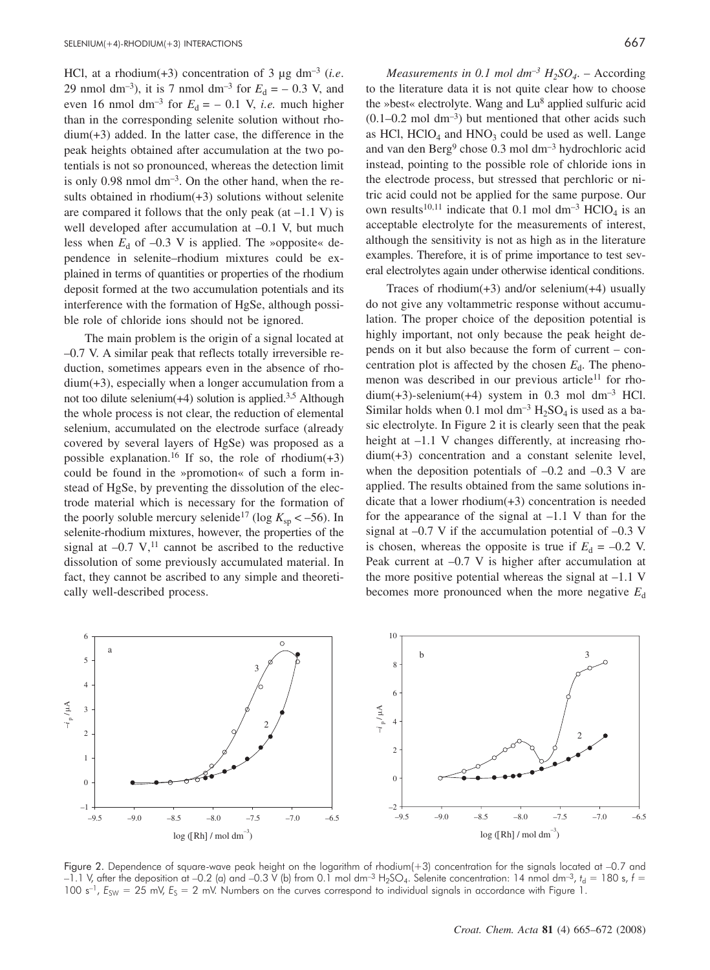HCl, at a rhodium(+3) concentration of 3 µg dm–3 (*i.e*. 29 nmol dm<sup>-3</sup>), it is 7 nmol dm<sup>-3</sup> for  $E_d = -0.3$  V, and even 16 nmol dm<sup>-3</sup> for  $E_d = -0.1$  V, *i.e.* much higher than in the corresponding selenite solution without rhodium(+3) added. In the latter case, the difference in the peak heights obtained after accumulation at the two potentials is not so pronounced, whereas the detection limit is only 0.98 nmol  $dm^{-3}$ . On the other hand, when the results obtained in rhodium(+3) solutions without selenite are compared it follows that the only peak  $(at -1.1 V)$  is well developed after accumulation at –0.1 V, but much less when  $E_d$  of  $-0.3$  V is applied. The »opposite« dependence in selenite–rhodium mixtures could be explained in terms of quantities or properties of the rhodium deposit formed at the two accumulation potentials and its interference with the formation of HgSe, although possible role of chloride ions should not be ignored.

The main problem is the origin of a signal located at –0.7 V. A similar peak that reflects totally irreversible reduction, sometimes appears even in the absence of rhodium(+3), especially when a longer accumulation from a not too dilute selenium $(+4)$  solution is applied.<sup>3,5</sup> Although the whole process is not clear, the reduction of elemental selenium, accumulated on the electrode surface (already covered by several layers of HgSe) was proposed as a possible explanation.<sup>16</sup> If so, the role of rhodium(+3) could be found in the »promotion« of such a form instead of HgSe, by preventing the dissolution of the electrode material which is necessary for the formation of the poorly soluble mercury selenide<sup>17</sup> (log  $K_{\rm sp}$  < –56). In selenite-rhodium mixtures, however, the properties of the signal at  $-0.7$  V,<sup>11</sup> cannot be ascribed to the reductive dissolution of some previously accumulated material. In fact, they cannot be ascribed to any simple and theoretically well-described process.

*Measurements in 0.1 mol*  $dm^{-3} H_2SO_4$ *.* – According to the literature data it is not quite clear how to choose the »best« electrolyte. Wang and Lu<sup>8</sup> applied sulfuric acid  $(0.1-0.2 \text{ mol dm}^{-3})$  but mentioned that other acids such as HCl,  $HCIO<sub>4</sub>$  and  $HNO<sub>3</sub>$  could be used as well. Lange and van den Berg<sup>9</sup> chose 0.3 mol dm<sup>-3</sup> hydrochloric acid instead, pointing to the possible role of chloride ions in the electrode process, but stressed that perchloric or nitric acid could not be applied for the same purpose. Our own results<sup>10,11</sup> indicate that 0.1 mol dm<sup>-3</sup> HClO<sub>4</sub> is an acceptable electrolyte for the measurements of interest, although the sensitivity is not as high as in the literature examples. Therefore, it is of prime importance to test several electrolytes again under otherwise identical conditions.

Traces of rhodium $(+3)$  and/or selenium $(+4)$  usually do not give any voltammetric response without accumulation. The proper choice of the deposition potential is highly important, not only because the peak height depends on it but also because the form of current – concentration plot is affected by the chosen  $E_d$ . The phenomenon was described in our previous article<sup>11</sup> for rhodium(+3)-selenium(+4) system in  $0.3$  mol dm<sup>-3</sup> HCl. Similar holds when 0.1 mol  $dm^{-3}H_2SO_4$  is used as a basic electrolyte. In Figure 2 it is clearly seen that the peak height at  $-1.1$  V changes differently, at increasing rhodium(+3) concentration and a constant selenite level, when the deposition potentials of  $-0.2$  and  $-0.3$  V are applied. The results obtained from the same solutions indicate that a lower rhodium(+3) concentration is needed for the appearance of the signal at  $-1.1$  V than for the signal at  $-0.7$  V if the accumulation potential of  $-0.3$  V is chosen, whereas the opposite is true if  $E_d = -0.2$  V. Peak current at –0.7 V is higher after accumulation at the more positive potential whereas the signal at  $-1.1$  V becomes more pronounced when the more negative  $E_d$ 



Figure 2. Dependence of square-wave peak height on the logarithm of rhodium(+3) concentration for the signals located at –0.7 and –1.1 V, after the deposition at –0.2 (a) and –0.3 V (b) from 0.1 mol dm<sup>-3</sup> H<sub>2</sub>SO<sub>4</sub>. Selenite concentration: 14 nmol dm<sup>-3</sup>,  $t_d = 180$  s,  $f =$ 100  $s^{-1}$ ,  $E_{SW} = 25$  mV,  $E_S = 2$  mV. Numbers on the curves correspond to individual signals in accordance with Figure 1.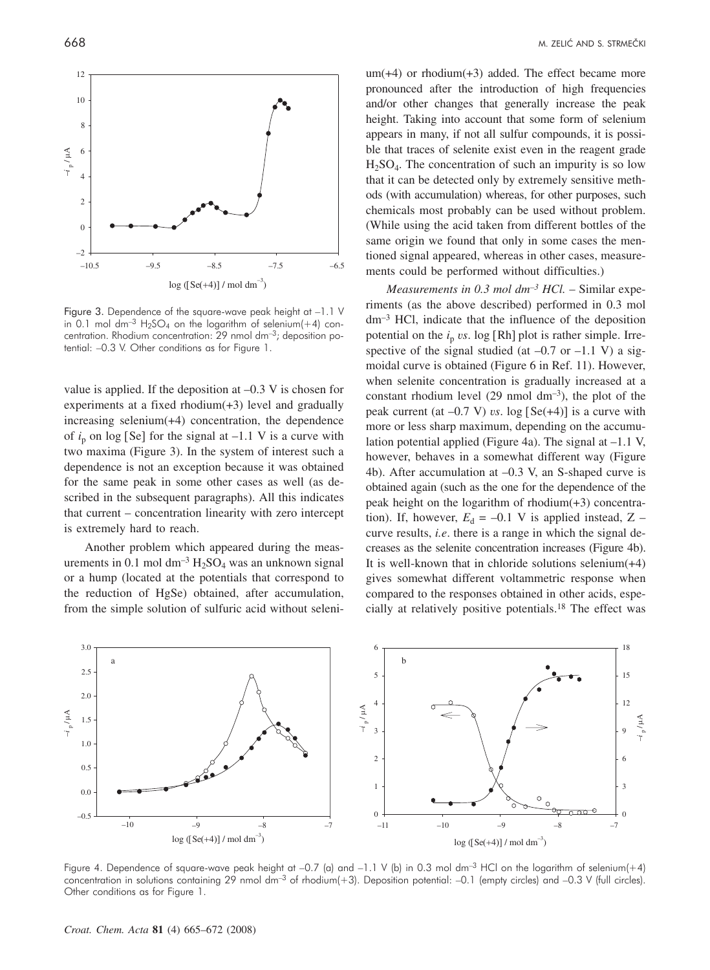

Figure 3. Dependence of the square-wave peak height at –1.1 V in 0.1 mol dm<sup>-3</sup> H<sub>2</sub>SO<sub>4</sub> on the logarithm of selenium(+4) concentration. Rhodium concentration:  $29$  nmol dm<sup>-3</sup>; deposition potential: –0.3 V. Other conditions as for Figure 1.

value is applied. If the deposition at –0.3 V is chosen for experiments at a fixed rhodium(+3) level and gradually increasing selenium(+4) concentration, the dependence of  $i_n$  on log [Se] for the signal at  $-1.1$  V is a curve with two maxima (Figure 3). In the system of interest such a dependence is not an exception because it was obtained for the same peak in some other cases as well (as described in the subsequent paragraphs). All this indicates that current – concentration linearity with zero intercept is extremely hard to reach.

Another problem which appeared during the measurements in 0.1 mol dm<sup>-3</sup>  $H_2SO_4$  was an unknown signal or a hump (located at the potentials that correspond to the reduction of HgSe) obtained, after accumulation, from the simple solution of sulfuric acid without seleni-

um(+4) or rhodium(+3) added. The effect became more pronounced after the introduction of high frequencies and/or other changes that generally increase the peak height. Taking into account that some form of selenium appears in many, if not all sulfur compounds, it is possible that traces of selenite exist even in the reagent grade  $H<sub>2</sub>SO<sub>4</sub>$ . The concentration of such an impurity is so low that it can be detected only by extremely sensitive methods (with accumulation) whereas, for other purposes, such chemicals most probably can be used without problem. (While using the acid taken from different bottles of the same origin we found that only in some cases the mentioned signal appeared, whereas in other cases, measurements could be performed without difficulties.)

*Measurements in 0.3 mol dm–3 HCl.* – Similar experiments (as the above described) performed in 0.3 mol dm–3 HCl, indicate that the influence of the deposition potential on the  $i<sub>p</sub>$  *vs*. log [Rh] plot is rather simple. Irrespective of the signal studied (at  $-0.7$  or  $-1.1$  V) a sigmoidal curve is obtained (Figure 6 in Ref. 11). However, when selenite concentration is gradually increased at a constant rhodium level  $(29 \text{ nmol dm}^{-3})$ , the plot of the peak current (at  $-0.7$  V) *vs*. log [Se( $+4$ )] is a curve with more or less sharp maximum, depending on the accumulation potential applied (Figure 4a). The signal at –1.1 V, however, behaves in a somewhat different way (Figure 4b). After accumulation at –0.3 V, an S-shaped curve is obtained again (such as the one for the dependence of the peak height on the logarithm of rhodium(+3) concentration). If, however,  $E_d = -0.1$  V is applied instead, Z – curve results, *i.e*. there is a range in which the signal decreases as the selenite concentration increases (Figure 4b). It is well-known that in chloride solutions selenium(+4) gives somewhat different voltammetric response when compared to the responses obtained in other acids, especially at relatively positive potentials.18 The effect was



Figure 4. Dependence of square-wave peak height at -0.7 (a) and -1.1 V (b) in 0.3 mol dm<sup>-3</sup> HCl on the logarithm of selenium(+4) concentration in solutions containing 29 nmol dm<sup>-3</sup> of rhodium(+3). Deposition potential: -0.1 (empty circles) and -0.3 V (full circles). Other conditions as for Figure 1.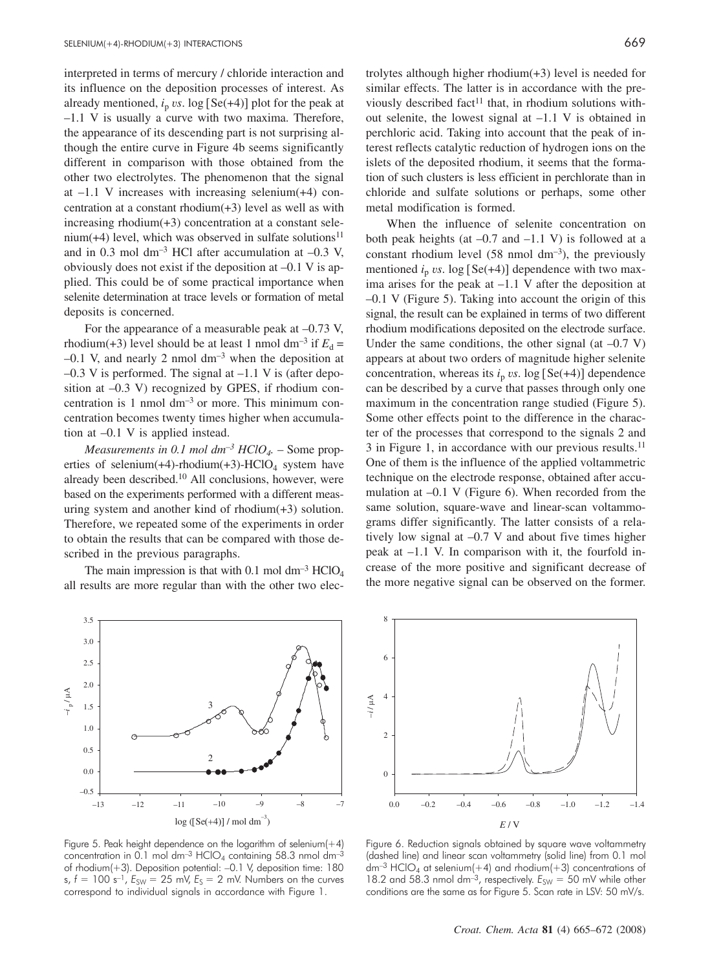interpreted in terms of mercury / chloride interaction and its influence on the deposition processes of interest. As already mentioned,  $i<sub>p</sub>$  *vs*. log [Se(+4)] plot for the peak at –1.1 V is usually a curve with two maxima. Therefore, the appearance of its descending part is not surprising although the entire curve in Figure 4b seems significantly different in comparison with those obtained from the other two electrolytes. The phenomenon that the signal at –1.1 V increases with increasing selenium(+4) concentration at a constant rhodium(+3) level as well as with increasing rhodium(+3) concentration at a constant selenium(+4) level, which was observed in sulfate solutions $11$ and in 0.3 mol dm<sup>-3</sup> HCl after accumulation at  $-0.3$  V, obviously does not exist if the deposition at –0.1 V is applied. This could be of some practical importance when selenite determination at trace levels or formation of metal deposits is concerned.

For the appearance of a measurable peak at  $-0.73$  V, rhodium(+3) level should be at least 1 nmol dm<sup>-3</sup> if  $E_d$  =  $-0.1$  V, and nearly 2 nmol dm<sup>-3</sup> when the deposition at  $-0.3$  V is performed. The signal at  $-1.1$  V is (after deposition at –0.3 V) recognized by GPES, if rhodium concentration is  $1$  nmol  $dm^{-3}$  or more. This minimum concentration becomes twenty times higher when accumulation at –0.1 V is applied instead.

*Measurements in 0.1 mol*  $dm^{-3}$  $HClO<sub>4</sub>$ *.* – Some properties of selenium(+4)-rhodium(+3)-HClO<sub>4</sub> system have already been described.10 All conclusions, however, were based on the experiments performed with a different measuring system and another kind of rhodium(+3) solution. Therefore, we repeated some of the experiments in order to obtain the results that can be compared with those described in the previous paragraphs.

The main impression is that with 0.1 mol  $dm^{-3}$  HClO<sub>4</sub> all results are more regular than with the other two elec-

trolytes although higher rhodium(+3) level is needed for similar effects. The latter is in accordance with the previously described fact<sup>11</sup> that, in rhodium solutions without selenite, the lowest signal at –1.1 V is obtained in perchloric acid. Taking into account that the peak of interest reflects catalytic reduction of hydrogen ions on the islets of the deposited rhodium, it seems that the formation of such clusters is less efficient in perchlorate than in chloride and sulfate solutions or perhaps, some other metal modification is formed.

When the influence of selenite concentration on both peak heights (at  $-0.7$  and  $-1.1$  V) is followed at a constant rhodium level  $(58 \text{ nmol dm}^{-3})$ , the previously mentioned  $i_p$  *vs*. log [Se(+4)] dependence with two maxima arises for the peak at –1.1 V after the deposition at –0.1 V (Figure 5). Taking into account the origin of this signal, the result can be explained in terms of two different rhodium modifications deposited on the electrode surface. Under the same conditions, the other signal (at  $-0.7$  V) appears at about two orders of magnitude higher selenite concentration, whereas its  $i<sub>p</sub>$  *vs*. log [Se(+4)] dependence can be described by a curve that passes through only one maximum in the concentration range studied (Figure 5). Some other effects point to the difference in the character of the processes that correspond to the signals 2 and 3 in Figure 1, in accordance with our previous results.11 One of them is the influence of the applied voltammetric technique on the electrode response, obtained after accumulation at –0.1 V (Figure 6). When recorded from the same solution, square-wave and linear-scan voltammograms differ significantly. The latter consists of a relatively low signal at –0.7 V and about five times higher peak at –1.1 V. In comparison with it, the fourfold increase of the more positive and significant decrease of the more negative signal can be observed on the former.



Figure 5. Peak height dependence on the logarithm of selenium $(+4)$ concentration in 0.1 mol dm<sup>-3</sup> HClO<sub>4</sub> containing 58.3 nmol dm<sup>-3</sup> of rhodium(+3). Deposition potential: –0.1 V, deposition time: 180  $s, f = 100 \text{ s}^{-1}, E_{SW} = 25 \text{ mV}, E_S = 2 \text{ mV}.$  Numbers on the curves correspond to individual signals in accordance with Figure 1.



Figure 6. Reduction signals obtained by square wave voltammetry (dashed line) and linear scan voltammetry (solid line) from 0.1 mol  $dm^{-3}$  HClO<sub>4</sub> at selenium(+4) and rhodium(+3) concentrations of 18.2 and 58.3 nmol dm<sup>-3</sup>, respectively.  $E_{SW} = 50$  mV while other conditions are the same as for Figure 5. Scan rate in LSV: 50 mV/s.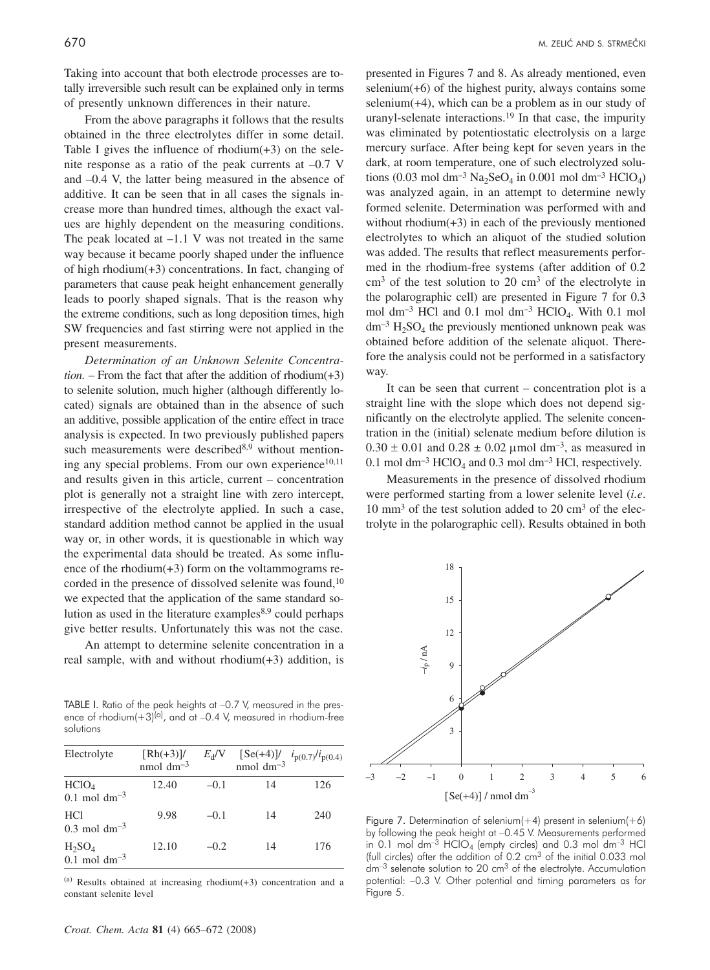Taking into account that both electrode processes are totally irreversible such result can be explained only in terms of presently unknown differences in their nature.

From the above paragraphs it follows that the results obtained in the three electrolytes differ in some detail. Table I gives the influence of rhodium $(+3)$  on the selenite response as a ratio of the peak currents at –0.7 V and –0.4 V, the latter being measured in the absence of additive. It can be seen that in all cases the signals increase more than hundred times, although the exact values are highly dependent on the measuring conditions. The peak located at  $-1.1$  V was not treated in the same way because it became poorly shaped under the influence of high rhodium(+3) concentrations. In fact, changing of parameters that cause peak height enhancement generally leads to poorly shaped signals. That is the reason why the extreme conditions, such as long deposition times, high SW frequencies and fast stirring were not applied in the present measurements.

*Determination of an Unknown Selenite Concentra-* $$ to selenite solution, much higher (although differently located) signals are obtained than in the absence of such an additive, possible application of the entire effect in trace analysis is expected. In two previously published papers such measurements were described $8,9$  without mentioning any special problems. From our own experience<sup>10,11</sup> and results given in this article, current – concentration plot is generally not a straight line with zero intercept, irrespective of the electrolyte applied. In such a case, standard addition method cannot be applied in the usual way or, in other words, it is questionable in which way the experimental data should be treated. As some influence of the rhodium(+3) form on the voltammograms recorded in the presence of dissolved selenite was found,<sup>10</sup> we expected that the application of the same standard solution as used in the literature examples $8,9$  could perhaps give better results. Unfortunately this was not the case.

An attempt to determine selenite concentration in a real sample, with and without rhodium(+3) addition, is

TABLE I. Ratio of the peak heights at –0.7 V, measured in the pres-<br>ence of rhodium(+3)<sup>(a)</sup>, and at –0.4 V, measured in rhodium-free solutions

| Electrolyte                                    | $\left[\frac{Rh(+3)}{l}\right]$<br>nmol $dm^{-3}$ | $E_{\rm d}$ /V |    | [Se(+4)] $\frac{l}{p(0.7)}$ $i_{p(0.7)}$ $i_{p(0.4)}$<br>nmol dm <sup>-3</sup> |
|------------------------------------------------|---------------------------------------------------|----------------|----|--------------------------------------------------------------------------------|
| HCIO <sub>4</sub><br>$0.1 \text{ mol dm}^{-3}$ | 12.40                                             | $-0.1$         | 14 | 126                                                                            |
| <b>HCl</b><br>$0.3 \text{ mol dm}^{-3}$        | 9.98                                              | $-0.1$         | 14 | 240                                                                            |
| $H_2SO_4$<br>$0.1$ mol dm <sup>-3</sup>        | 12.10                                             | $-0.2$         | 14 | 176                                                                            |

 $(a)$  Results obtained at increasing rhodium(+3) concentration and a constant selenite level

presented in Figures 7 and 8. As already mentioned, even selenium(+6) of the highest purity, always contains some selenium $(+4)$ , which can be a problem as in our study of uranyl-selenate interactions.19 In that case, the impurity was eliminated by potentiostatic electrolysis on a large mercury surface. After being kept for seven years in the dark, at room temperature, one of such electrolyzed solutions (0.03 mol dm<sup>-3</sup> Na<sub>2</sub>SeO<sub>4</sub> in 0.001 mol dm<sup>-3</sup> HClO<sub>4</sub>) was analyzed again, in an attempt to determine newly formed selenite. Determination was performed with and without rhodium(+3) in each of the previously mentioned electrolytes to which an aliquot of the studied solution was added. The results that reflect measurements performed in the rhodium-free systems (after addition of 0.2  $cm<sup>3</sup>$  of the test solution to 20  $cm<sup>3</sup>$  of the electrolyte in the polarographic cell) are presented in Figure 7 for 0.3 mol dm<sup>-3</sup> HCl and 0.1 mol dm<sup>-3</sup> HClO<sub>4</sub>. With 0.1 mol  $dm^{-3}$  H<sub>2</sub>SO<sub>4</sub> the previously mentioned unknown peak was obtained before addition of the selenate aliquot. Therefore the analysis could not be performed in a satisfactory way.

It can be seen that current – concentration plot is a straight line with the slope which does not depend significantly on the electrolyte applied. The selenite concentration in the (initial) selenate medium before dilution is  $0.30 \pm 0.01$  and  $0.28 \pm 0.02$  µmol dm<sup>-3</sup>, as measured in 0.1 mol dm<sup>-3</sup> HClO<sub>4</sub> and 0.3 mol dm<sup>-3</sup> HCl, respectively.

Measurements in the presence of dissolved rhodium were performed starting from a lower selenite level (*i.e*.  $10 \text{ mm}^3$  of the test solution added to  $20 \text{ cm}^3$  of the electrolyte in the polarographic cell). Results obtained in both



Figure 7. Determination of selenium $(+4)$  present in selenium $(+6)$ by following the peak height at –0.45 V. Measurements performed in 0.1 mol dm<sup>-3</sup> HClO<sub>4</sub> (empty circles) and 0.3 mol dm<sup>-3</sup> HCl (full circles) after the addition of  $0.2 \text{ cm}^3$  of the initial  $0.033 \text{ mol}$  $dm^{-3}$  selengte solution to 20  $cm^3$  of the electrolyte. Accumulation potential: –0.3 V. Other potential and timing parameters as for Figure 5.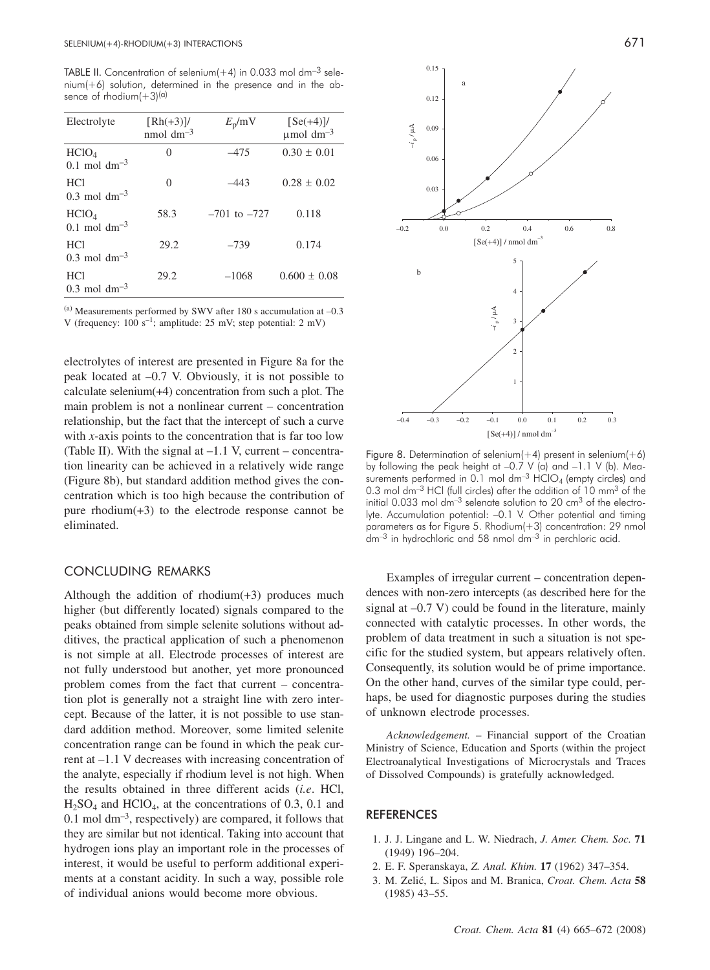TABLE II. Concentration of selenium $(+4)$  in 0.033 mol dm<sup>-3</sup> sele $nium(+6)$  solution, determined in the presence and in the absence of rhodium $(+3)^{(a)}$ 

| Electrolyte                                     | $\left[\frac{Rh(+3)}{l}\right]$<br>nmol $dm^{-3}$ | $E_{\rm p}$ /mV  | $\left[ \text{Se}(+4) \right]$ /<br>$\mu$ mol dm <sup>-3</sup> |
|-------------------------------------------------|---------------------------------------------------|------------------|----------------------------------------------------------------|
| HCIO <sub>4</sub><br>$0.1$ mol dm <sup>-3</sup> | 0                                                 | $-475$           | $0.30 \pm 0.01$                                                |
| <b>HCI</b><br>$0.3$ mol dm <sup>-3</sup>        | 0                                                 | $-443$           | $0.28 \pm 0.02$                                                |
| HCIO <sub>4</sub><br>$0.1$ mol dm <sup>-3</sup> | 58.3                                              | $-701$ to $-727$ | 0.118                                                          |
| <b>HCI</b><br>0.3 mol dm <sup>-3</sup>          | 29.2                                              | $-739$           | 0.174                                                          |
| HC <sub>1</sub><br>$0.3$ mol dm <sup>-3</sup>   | 29.2                                              | $-1068$          | $0.600 \pm 0.08$                                               |

 $^{(a)}$  Measurements performed by SWV after 180 s accumulation at  $-0.3$ V (frequency:  $100 \text{ s}^{-1}$ ; amplitude:  $25 \text{ mV}$ ; step potential:  $2 \text{ mV}$ )

electrolytes of interest are presented in Figure 8a for the peak located at –0.7 V. Obviously, it is not possible to calculate selenium(+4) concentration from such a plot. The main problem is not a nonlinear current – concentration relationship, but the fact that the intercept of such a curve with *x*-axis points to the concentration that is far too low (Table II). With the signal at  $-1.1$  V, current – concentration linearity can be achieved in a relatively wide range (Figure 8b), but standard addition method gives the concentration which is too high because the contribution of pure rhodium(+3) to the electrode response cannot be eliminated.

# CONCLUDING REMARKS

Although the addition of rhodium(+3) produces much higher (but differently located) signals compared to the peaks obtained from simple selenite solutions without additives, the practical application of such a phenomenon is not simple at all. Electrode processes of interest are not fully understood but another, yet more pronounced problem comes from the fact that current – concentration plot is generally not a straight line with zero intercept. Because of the latter, it is not possible to use standard addition method. Moreover, some limited selenite concentration range can be found in which the peak current at –1.1 V decreases with increasing concentration of the analyte, especially if rhodium level is not high. When the results obtained in three different acids (*i.e*. HCl,  $H<sub>2</sub>SO<sub>4</sub>$  and  $HClO<sub>4</sub>$ , at the concentrations of 0.3, 0.1 and  $0.1$  mol dm<sup>-3</sup>, respectively) are compared, it follows that they are similar but not identical. Taking into account that hydrogen ions play an important role in the processes of interest, it would be useful to perform additional experiments at a constant acidity. In such a way, possible role of individual anions would become more obvious.



Figure 8. Determination of selenium $(+4)$  present in selenium $(+6)$ by following the peak height at –0.7 V (a) and –1.1 V (b). Measurements performed in 0.1 mol  $dm^{-3}$  HClO<sub>4</sub> (empty circles) and 0.3 mol dm<sup>-3</sup> HCl (full circles) after the addition of 10 mm<sup>3</sup> of the initial 0.033 mol  $dm^{-3}$  selengte solution to 20  $cm^{3}$  of the electrolyte. Accumulation potential: - 0.1 V. Other potential and timing parameters as for Figure 5. Rhodium(+3) concentration: 29 nmol dm–3 in hydrochloric and 58 nmol dm–3 in perchloric acid.

Examples of irregular current – concentration dependences with non-zero intercepts (as described here for the signal at  $-0.7$  V) could be found in the literature, mainly connected with catalytic processes. In other words, the problem of data treatment in such a situation is not specific for the studied system, but appears relatively often. Consequently, its solution would be of prime importance. On the other hand, curves of the similar type could, perhaps, be used for diagnostic purposes during the studies of unknown electrode processes.

*Acknowledgement.* – Financial support of the Croatian Ministry of Science, Education and Sports (within the project Electroanalytical Investigations of Microcrystals and Traces of Dissolved Compounds) is gratefully acknowledged.

#### REFERENCES

- 1. J. J. Lingane and L. W. Niedrach, *J. Amer. Chem. Soc.* **71** (1949) 196–204.
- 2. E. F. Speranskaya, *Z. Anal. Khim.* **17** (1962) 347–354.
- 3. M. Zeli}, L. Sipos and M. Branica, *Croat. Chem. Acta* **58** (1985) 43–55.